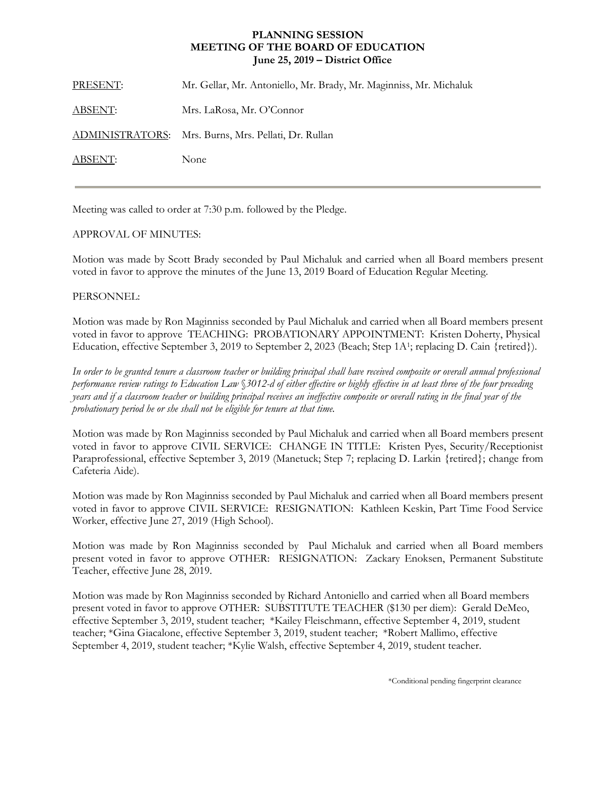## **PLANNING SESSION MEETING OF THE BOARD OF EDUCATION June 25, 2019 – District Office**

PRESENT: Mr. Gellar, Mr. Antoniello, Mr. Brady, Mr. Maginniss, Mr. Michaluk ABSENT: Mrs. LaRosa, Mr. O'Connor ADMINISTRATORS: Mrs. Burns, Mrs. Pellati, Dr. Rullan ABSENT: None

Meeting was called to order at 7:30 p.m. followed by the Pledge.

## APPROVAL OF MINUTES:

Motion was made by Scott Brady seconded by Paul Michaluk and carried when all Board members present voted in favor to approve the minutes of the June 13, 2019 Board of Education Regular Meeting.

## PERSONNEL:

Motion was made by Ron Maginniss seconded by Paul Michaluk and carried when all Board members present voted in favor to approve TEACHING: PROBATIONARY APPOINTMENT: Kristen Doherty, Physical Education, effective September 3, 2019 to September 2, 2023 (Beach; Step 1A<sup>1</sup>; replacing D. Cain {retired}).

*In order to be granted tenure a classroom teacher or building principal shall have received composite or overall annual professional performance review ratings to Education Law* §*3012-d of either effective or highly effective in at least three of the four preceding years and if a classroom teacher or building principal receives an ineffective composite or overall rating in the final year of the probationary period he or she shall not be eligible for tenure at that time.*

Motion was made by Ron Maginniss seconded by Paul Michaluk and carried when all Board members present voted in favor to approve CIVIL SERVICE: CHANGE IN TITLE: Kristen Pyes, Security/Receptionist Paraprofessional, effective September 3, 2019 (Manetuck; Step 7; replacing D. Larkin {retired}; change from Cafeteria Aide).

Motion was made by Ron Maginniss seconded by Paul Michaluk and carried when all Board members present voted in favor to approve CIVIL SERVICE: RESIGNATION: Kathleen Keskin, Part Time Food Service Worker, effective June 27, 2019 (High School).

Motion was made by Ron Maginniss seconded by Paul Michaluk and carried when all Board members present voted in favor to approve OTHER: RESIGNATION: Zackary Enoksen, Permanent Substitute Teacher, effective June 28, 2019.

Motion was made by Ron Maginniss seconded by Richard Antoniello and carried when all Board members present voted in favor to approve OTHER: SUBSTITUTE TEACHER (\$130 per diem): Gerald DeMeo, effective September 3, 2019, student teacher; \*Kailey Fleischmann, effective September 4, 2019, student teacher; \*Gina Giacalone, effective September 3, 2019, student teacher; \*Robert Mallimo, effective September 4, 2019, student teacher; \*Kylie Walsh, effective September 4, 2019, student teacher.